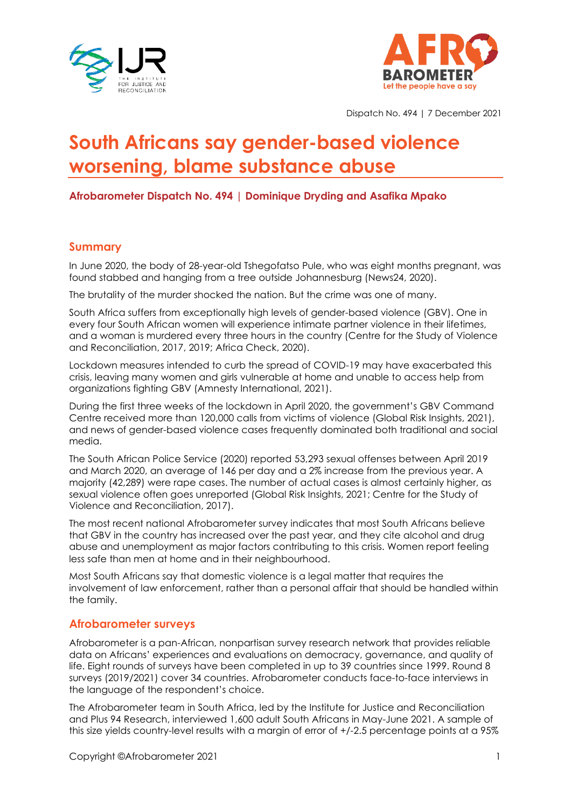



Dispatch No. 494 | 7 December 2021

# **South Africans say gender-based violence worsening, blame substance abuse**

**Afrobarometer Dispatch No. 494 | Dominique Dryding and Asafika Mpako**

## **Summary**

In June 2020, the body of 28-year-old Tshegofatso Pule, who was eight months pregnant, was found stabbed and hanging from a tree outside Johannesburg (News24, 2020).

The brutality of the murder shocked the nation. But the crime was one of many.

South Africa suffers from exceptionally high levels of gender-based violence (GBV). One in every four South African women will experience intimate partner violence in their lifetimes, and a woman is murdered every three hours in the country (Centre for the Study of Violence and Reconciliation, 2017, 2019; Africa Check, 2020).

Lockdown measures intended to curb the spread of COVID-19 may have exacerbated this crisis, leaving many women and girls vulnerable at home and unable to access help from organizations fighting GBV (Amnesty International, 2021).

During the first three weeks of the lockdown in April 2020, the government's GBV Command Centre received more than 120,000 calls from victims of violence (Global Risk Insights, 2021), and news of gender-based violence cases frequently dominated both traditional and social media.

The South African Police Service (2020) reported 53,293 sexual offenses between April 2019 and March 2020, an average of 146 per day and a 2% increase from the previous year. A majority (42,289) were rape cases. The number of actual cases is almost certainly higher, as sexual violence often goes unreported (Global Risk Insights, 2021; Centre for the Study of Violence and Reconciliation, 2017).

The most recent national Afrobarometer survey indicates that most South Africans believe that GBV in the country has increased over the past year, and they cite alcohol and drug abuse and unemployment as major factors contributing to this crisis. Women report feeling less safe than men at home and in their neighbourhood.

Most South Africans say that domestic violence is a legal matter that requires the involvement of law enforcement, rather than a personal affair that should be handled within the family.

### **Afrobarometer surveys**

Afrobarometer is a pan-African, nonpartisan survey research network that provides reliable data on Africans' experiences and evaluations on democracy, governance, and quality of life. Eight rounds of surveys have been completed in up to 39 countries since 1999. Round 8 surveys (2019/2021) cover 34 countries. Afrobarometer conducts face-to-face interviews in the language of the respondent's choice.

The Afrobarometer team in South Africa, led by the Institute for Justice and Reconciliation and Plus 94 Research, interviewed 1,600 adult South Africans in May-June 2021. A sample of this size yields country-level results with a margin of error of +/-2.5 percentage points at a 95%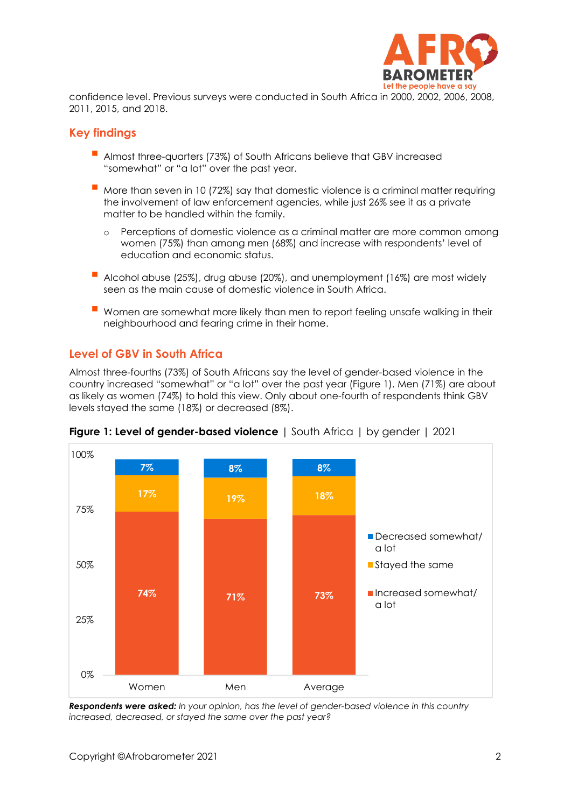

confidence level. Previous surveys were conducted in South Africa in 2000, 2002, 2006, 2008, 2011, 2015, and 2018.

## **Key findings**

- Almost three-quarters (73%) of South Africans believe that GBV increased "somewhat" or "a lot" over the past year.
- More than seven in 10 (72%) say that domestic violence is a criminal matter requiring the involvement of law enforcement agencies, while just 26% see it as a private matter to be handled within the family.
	- o Perceptions of domestic violence as a criminal matter are more common among women (75%) than among men (68%) and increase with respondents' level of education and economic status.
- Alcohol abuse (25%), drug abuse (20%), and unemployment (16%) are most widely seen as the main cause of domestic violence in South Africa.
- Women are somewhat more likely than men to report feeling unsafe walking in their neighbourhood and fearing crime in their home.

# **Level of GBV in South Africa**

Almost three-fourths (73%) of South Africans say the level of gender-based violence in the country increased "somewhat" or "a lot" over the past year (Figure 1). Men (71%) are about as likely as women (74%) to hold this view. Only about one-fourth of respondents think GBV levels stayed the same (18%) or decreased (8%).



**Figure 1: Level of gender-based violence** | South Africa | by gender | 2021

*Respondents were asked: In your opinion, has the level of gender-based violence in this country increased, decreased, or stayed the same over the past year?*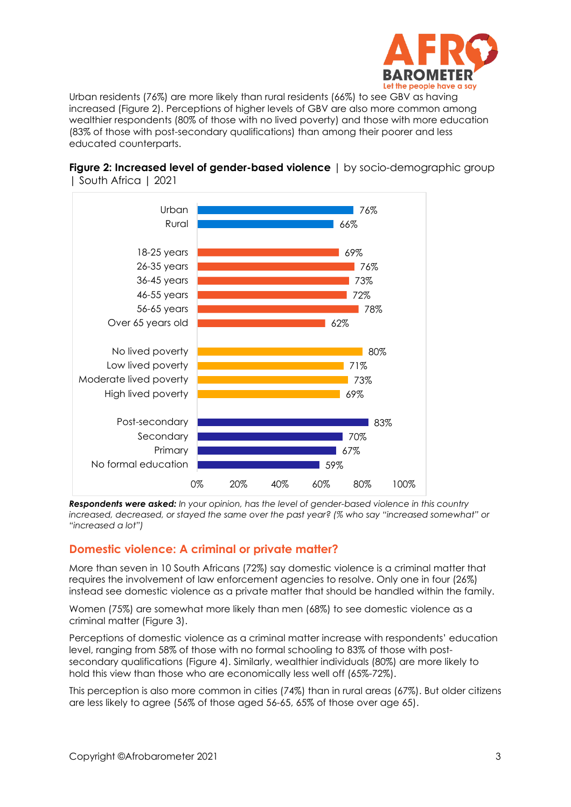

Urban residents (76%) are more likely than rural residents (66%) to see GBV as having increased (Figure 2). Perceptions of higher levels of GBV are also more common among wealthier respondents (80% of those with no lived poverty) and those with more education (83% of those with post-secondary qualifications) than among their poorer and less educated counterparts.



**Figure 2: Increased level of gender-based violence** | by socio-demographic group | South Africa | 2021

*Respondents were asked: In your opinion, has the level of gender-based violence in this country increased, decreased, or stayed the same over the past year? (% who say "increased somewhat" or "increased a lot")* 

# **Domestic violence: A criminal or private matter?**

More than seven in 10 South Africans (72%) say domestic violence is a criminal matter that requires the involvement of law enforcement agencies to resolve. Only one in four (26%) instead see domestic violence as a private matter that should be handled within the family.

Women (75%) are somewhat more likely than men (68%) to see domestic violence as a criminal matter (Figure 3).

Perceptions of domestic violence as a criminal matter increase with respondents' education level, ranging from 58% of those with no formal schooling to 83% of those with postsecondary qualifications (Figure 4). Similarly, wealthier individuals (80%) are more likely to hold this view than those who are economically less well off (65%-72%).

This perception is also more common in cities (74%) than in rural areas (67%). But older citizens are less likely to agree (56% of those aged 56-65, 65% of those over age 65).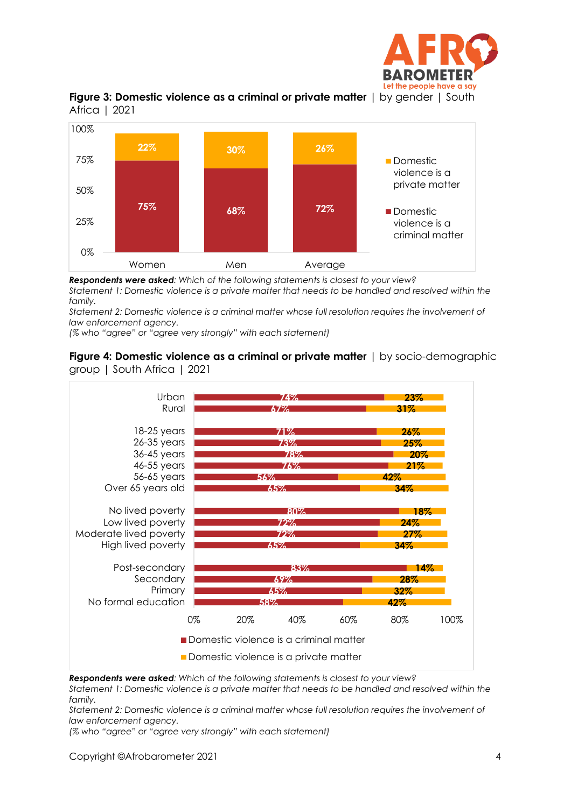





*Respondents were asked: Which of the following statements is closest to your view?*

*Statement 1: Domestic violence is a private matter that needs to be handled and resolved within the family.*

*Statement 2: Domestic violence is a criminal matter whose full resolution requires the involvement of law enforcement agency.*

*(% who "agree" or "agree very strongly" with each statement)*

#### **Figure 4: Domestic violence as a criminal or private matter** | by socio-demographic group | South Africa | 2021



*Respondents were asked: Which of the following statements is closest to your view?*

*Statement 1: Domestic violence is a private matter that needs to be handled and resolved within the family.*

*Statement 2: Domestic violence is a criminal matter whose full resolution requires the involvement of law enforcement agency.*

*(% who "agree" or "agree very strongly" with each statement)*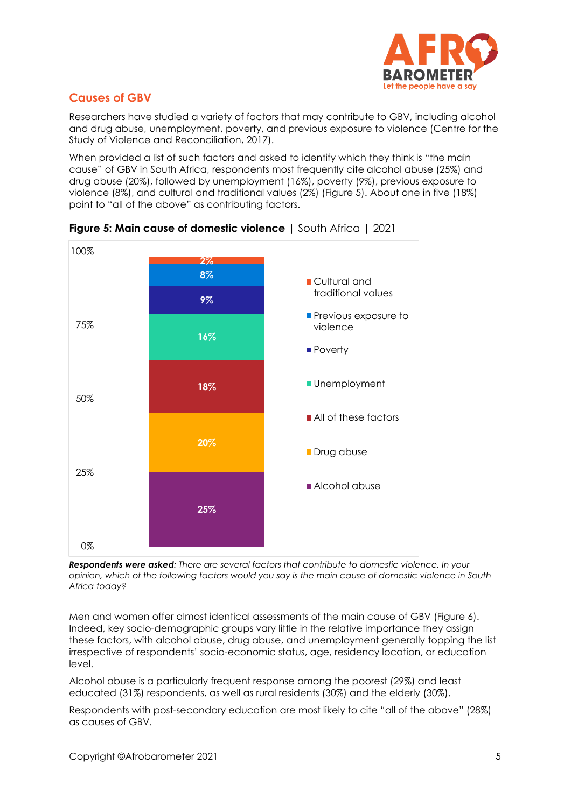

# **Causes of GBV**

Researchers have studied a variety of factors that may contribute to GBV, including alcohol and drug abuse, unemployment, poverty, and previous exposure to violence (Centre for the Study of Violence and Reconciliation, 2017).

When provided a list of such factors and asked to identify which they think is "the main cause" of GBV in South Africa, respondents most frequently cite alcohol abuse (25%) and drug abuse (20%), followed by unemployment (16%), poverty (9%), previous exposure to violence (8%), and cultural and traditional values (2%) (Figure 5). About one in five (18%) point to "all of the above" as contributing factors.



**Figure 5: Main cause of domestic violence** | South Africa | 2021

*Respondents were asked: There are several factors that contribute to domestic violence. In your* opinion, which of the following factors would you say is the main cause of domestic violence in South *Africa today?*

Men and women offer almost identical assessments of the main cause of GBV (Figure 6). Indeed, key socio-demographic groups vary little in the relative importance they assign these factors, with alcohol abuse, drug abuse, and unemployment generally topping the list irrespective of respondents' socio-economic status, age, residency location, or education level.

Alcohol abuse is a particularly frequent response among the poorest (29%) and least educated (31%) respondents, as well as rural residents (30%) and the elderly (30%).

Respondents with post-secondary education are most likely to cite "all of the above" (28%) as causes of GBV.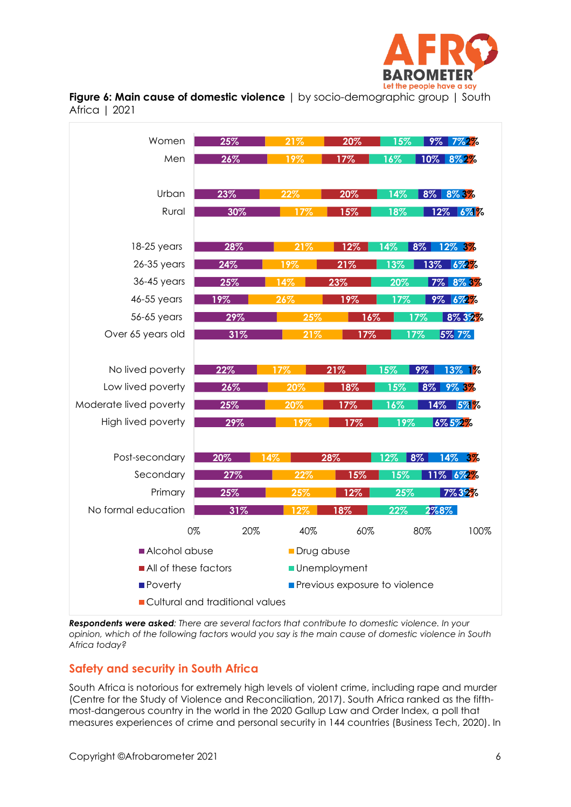

**Figure 6: Main cause of domestic violence** | by socio-demographic group | South Africa | 2021



*Respondents were asked: There are several factors that contribute to domestic violence. In your* opinion, which of the following factors would you say is the main cause of domestic violence in South *Africa today?*

# **Safety and security in South Africa**

South Africa is notorious for extremely high levels of violent crime, including rape and murder (Centre for the Study of Violence and Reconciliation, 2017). South Africa ranked as the fifthmost-dangerous country in the world in the 2020 Gallup Law and Order Index, a poll that measures experiences of crime and personal security in 144 countries (Business Tech, 2020). In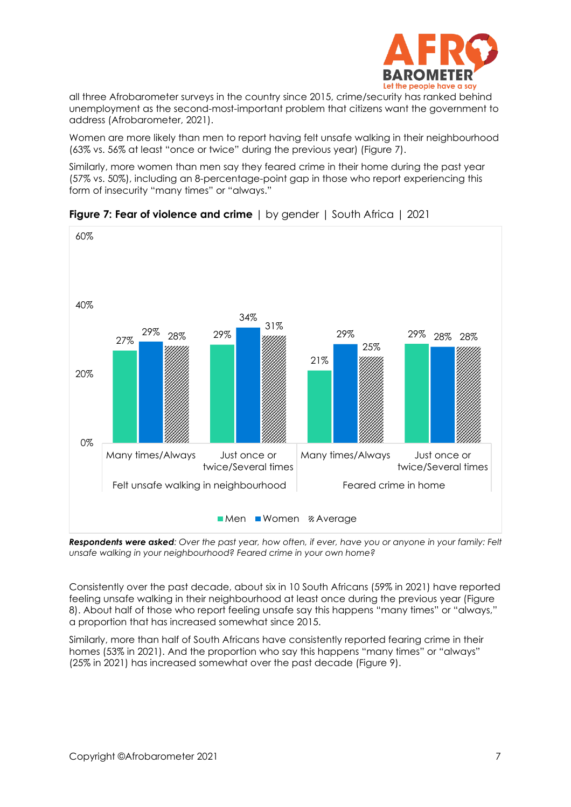

all three Afrobarometer surveys in the country since 2015, crime/security has ranked behind unemployment as the second-most-important problem that citizens want the government to address (Afrobarometer, 2021).

Women are more likely than men to report having felt unsafe walking in their neighbourhood (63% vs. 56% at least "once or twice" during the previous year) (Figure 7).

Similarly, more women than men say they feared crime in their home during the past year (57% vs. 50%), including an 8-percentage-point gap in those who report experiencing this form of insecurity "many times" or "always."



**Figure 7: Fear of violence and crime** | by gender | South Africa | 2021

Respondents were asked: Over the past year, how often, if ever, have you or anyone in your family: Felt *unsafe walking in your neighbourhood? Feared crime in your own home?*

Consistently over the past decade, about six in 10 South Africans (59% in 2021) have reported feeling unsafe walking in their neighbourhood at least once during the previous year (Figure 8). About half of those who report feeling unsafe say this happens "many times" or "always," a proportion that has increased somewhat since 2015.

Similarly, more than half of South Africans have consistently reported fearing crime in their homes (53% in 2021). And the proportion who say this happens "many times" or "always" (25% in 2021) has increased somewhat over the past decade (Figure 9).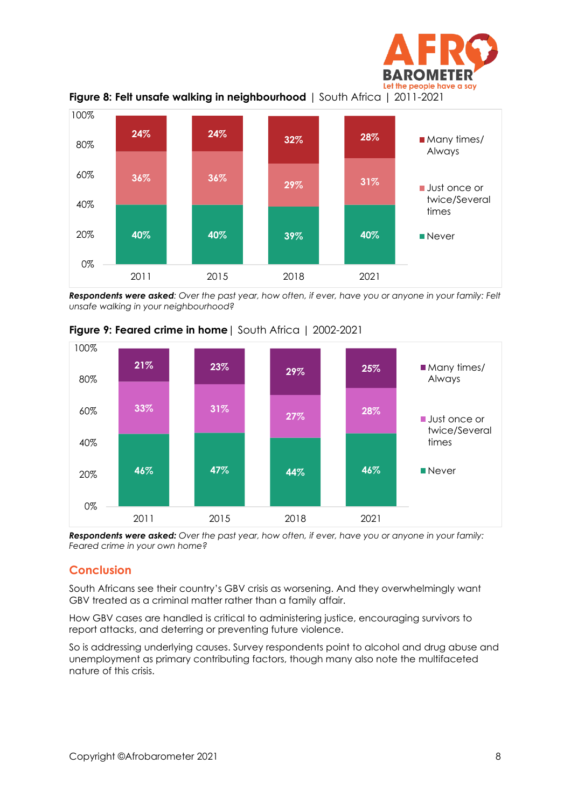



Respondents were asked: Over the past year, how often, if ever, have you or anyone in your family: Felt *unsafe walking in your neighbourhood?* 



**Figure 9: Feared crime in home**| South Africa | 2002-2021

*Respondents were asked: Over the past year, how often, if ever, have you or anyone in your family: Feared crime in your own home?*

# **Conclusion**

South Africans see their country's GBV crisis as worsening. And they overwhelmingly want GBV treated as a criminal matter rather than a family affair.

How GBV cases are handled is critical to administering justice, encouraging survivors to report attacks, and deterring or preventing future violence.

So is addressing underlying causes. Survey respondents point to alcohol and drug abuse and unemployment as primary contributing factors, though many also note the multifaceted nature of this crisis.